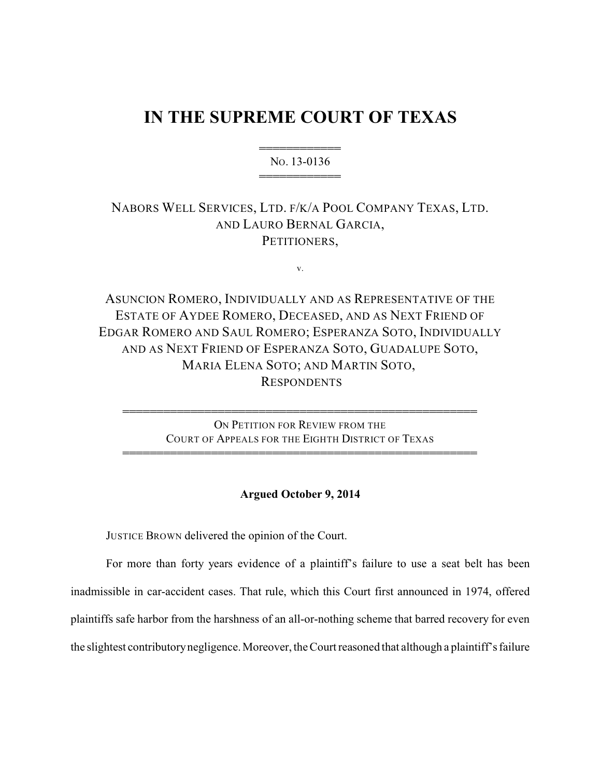# **IN THE SUPREME COURT OF TEXAS**

444444444444 NO. 13-0136 444444444444

# NABORS WELL SERVICES, LTD. F/K/A POOL COMPANY TEXAS, LTD. AND LAURO BERNAL GARCIA, PETITIONERS.

v.

ASUNCION ROMERO, INDIVIDUALLY AND AS REPRESENTATIVE OF THE ESTATE OF AYDEE ROMERO, DECEASED, AND AS NEXT FRIEND OF EDGAR ROMERO AND SAUL ROMERO; ESPERANZA SOTO, INDIVIDUALLY AND AS NEXT FRIEND OF ESPERANZA SOTO, GUADALUPE SOTO, MARIA ELENA SOTO; AND MARTIN SOTO, RESPONDENTS

> ON PETITION FOR REVIEW FROM THE COURT OF APPEALS FOR THE EIGHTH DISTRICT OF TEXAS

4444444444444444444444444444444444444444444444444444

4444444444444444444444444444444444444444444444444444

# **Argued October 9, 2014**

JUSTICE BROWN delivered the opinion of the Court.

For more than forty years evidence of a plaintiff's failure to use a seat belt has been inadmissible in car-accident cases. That rule, which this Court first announced in 1974, offered plaintiffs safe harbor from the harshness of an all-or-nothing scheme that barred recovery for even the slightest contributorynegligence. Moreover, the Court reasoned that although a plaintiff's failure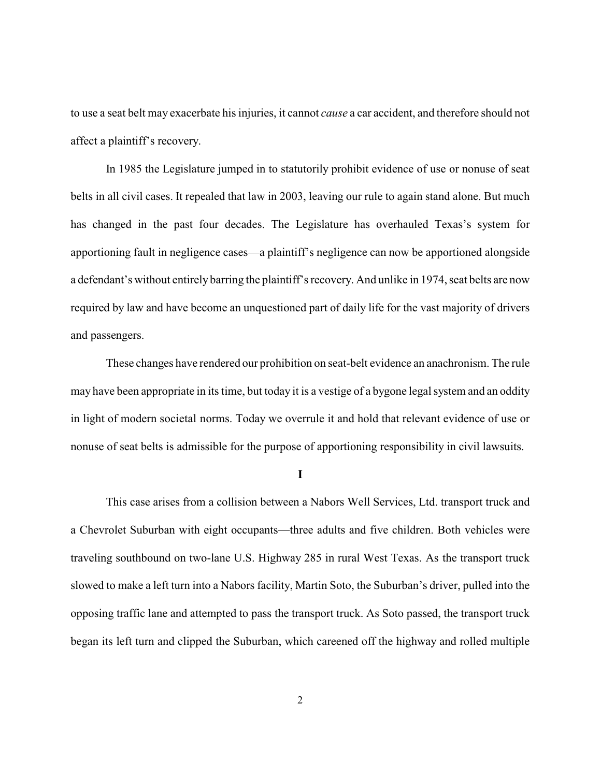to use a seat belt may exacerbate his injuries, it cannot *cause* a car accident, and therefore should not affect a plaintiff's recovery.

In 1985 the Legislature jumped in to statutorily prohibit evidence of use or nonuse of seat belts in all civil cases. It repealed that law in 2003, leaving our rule to again stand alone. But much has changed in the past four decades. The Legislature has overhauled Texas's system for apportioning fault in negligence cases—a plaintiff's negligence can now be apportioned alongside a defendant's without entirely barring the plaintiff's recovery. And unlike in 1974, seat belts are now required by law and have become an unquestioned part of daily life for the vast majority of drivers and passengers.

These changes have rendered our prohibition on seat-belt evidence an anachronism. The rule may have been appropriate in its time, but today it is a vestige of a bygone legal system and an oddity in light of modern societal norms. Today we overrule it and hold that relevant evidence of use or nonuse of seat belts is admissible for the purpose of apportioning responsibility in civil lawsuits.

**I**

This case arises from a collision between a Nabors Well Services, Ltd. transport truck and a Chevrolet Suburban with eight occupants—three adults and five children. Both vehicles were traveling southbound on two-lane U.S. Highway 285 in rural West Texas. As the transport truck slowed to make a left turn into a Nabors facility, Martin Soto, the Suburban's driver, pulled into the opposing traffic lane and attempted to pass the transport truck. As Soto passed, the transport truck began its left turn and clipped the Suburban, which careened off the highway and rolled multiple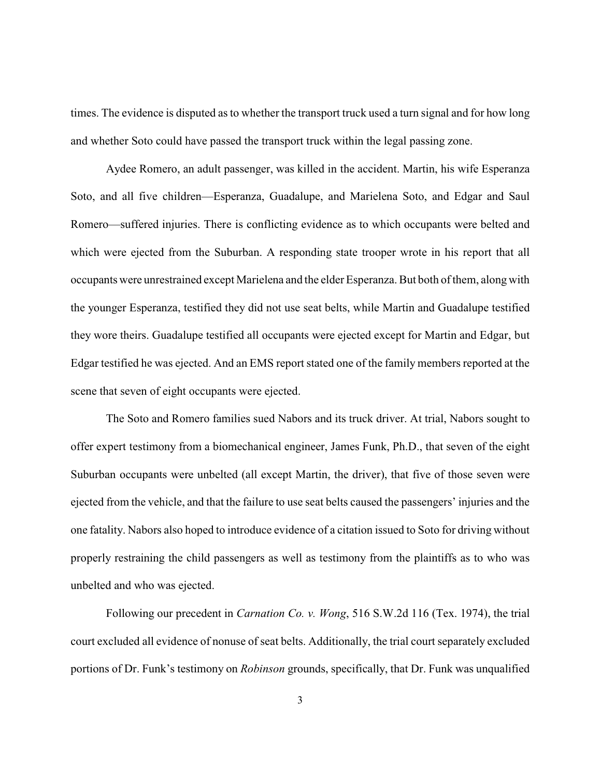times. The evidence is disputed as to whether the transport truck used a turn signal and for how long and whether Soto could have passed the transport truck within the legal passing zone.

Aydee Romero, an adult passenger, was killed in the accident. Martin, his wife Esperanza Soto, and all five children—Esperanza, Guadalupe, and Marielena Soto, and Edgar and Saul Romero—suffered injuries. There is conflicting evidence as to which occupants were belted and which were ejected from the Suburban. A responding state trooper wrote in his report that all occupants were unrestrained except Marielena and the elderEsperanza. But both of them, along with the younger Esperanza, testified they did not use seat belts, while Martin and Guadalupe testified they wore theirs. Guadalupe testified all occupants were ejected except for Martin and Edgar, but Edgar testified he was ejected. And an EMS report stated one of the family members reported at the scene that seven of eight occupants were ejected.

The Soto and Romero families sued Nabors and its truck driver. At trial, Nabors sought to offer expert testimony from a biomechanical engineer, James Funk, Ph.D., that seven of the eight Suburban occupants were unbelted (all except Martin, the driver), that five of those seven were ejected from the vehicle, and that the failure to use seat belts caused the passengers' injuries and the one fatality. Nabors also hoped to introduce evidence of a citation issued to Soto for driving without properly restraining the child passengers as well as testimony from the plaintiffs as to who was unbelted and who was ejected.

Following our precedent in *Carnation Co. v. Wong*, 516 S.W.2d 116 (Tex. 1974), the trial court excluded all evidence of nonuse of seat belts. Additionally, the trial court separately excluded portions of Dr. Funk's testimony on *Robinson* grounds, specifically, that Dr. Funk was unqualified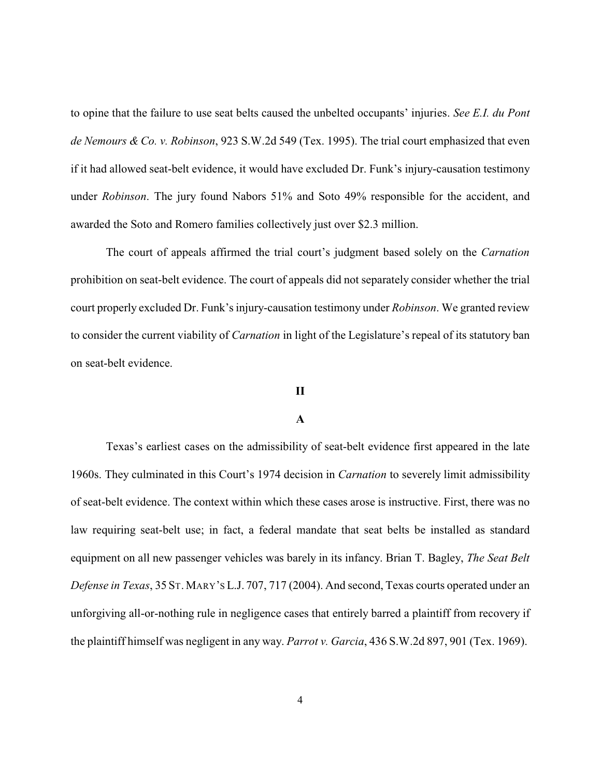to opine that the failure to use seat belts caused the unbelted occupants' injuries. *See E.I. du Pont de Nemours & Co. v. Robinson*, 923 S.W.2d 549 (Tex. 1995). The trial court emphasized that even if it had allowed seat-belt evidence, it would have excluded Dr. Funk's injury-causation testimony under *Robinson*. The jury found Nabors 51% and Soto 49% responsible for the accident, and awarded the Soto and Romero families collectively just over \$2.3 million.

The court of appeals affirmed the trial court's judgment based solely on the *Carnation* prohibition on seat-belt evidence. The court of appeals did not separately consider whether the trial court properly excluded Dr. Funk's injury-causation testimony under *Robinson*. We granted review to consider the current viability of *Carnation* in light of the Legislature's repeal of its statutory ban on seat-belt evidence.

#### **II**

## **A**

Texas's earliest cases on the admissibility of seat-belt evidence first appeared in the late 1960s. They culminated in this Court's 1974 decision in *Carnation* to severely limit admissibility of seat-belt evidence. The context within which these cases arose is instructive. First, there was no law requiring seat-belt use; in fact, a federal mandate that seat belts be installed as standard equipment on all new passenger vehicles was barely in its infancy. Brian T. Bagley, *The Seat Belt Defense in Texas*, 35 ST. MARY'S L.J. 707, 717 (2004). And second, Texas courts operated under an unforgiving all-or-nothing rule in negligence cases that entirely barred a plaintiff from recovery if the plaintiff himself was negligent in any way. *Parrot v. Garcia*, 436 S.W.2d 897, 901 (Tex. 1969).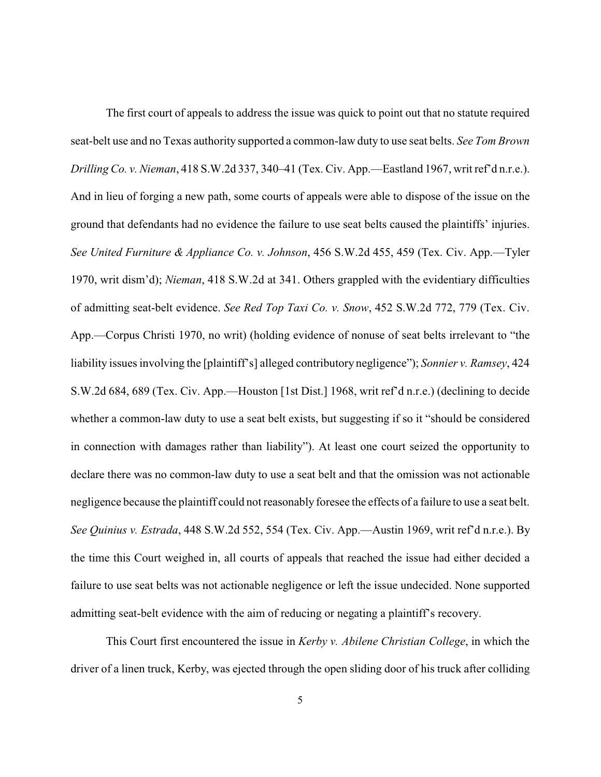The first court of appeals to address the issue was quick to point out that no statute required seat-belt use and no Texas authority supported a common-law duty to use seat belts. *See Tom Brown Drilling Co. v. Nieman*, 418 S.W.2d 337, 340–41 (Tex. Civ. App.—Eastland 1967, writ ref'd n.r.e.). And in lieu of forging a new path, some courts of appeals were able to dispose of the issue on the ground that defendants had no evidence the failure to use seat belts caused the plaintiffs' injuries. *See United Furniture & Appliance Co. v. Johnson*, 456 S.W.2d 455, 459 (Tex. Civ. App.—Tyler 1970, writ dism'd); *Nieman*, 418 S.W.2d at 341. Others grappled with the evidentiary difficulties of admitting seat-belt evidence. *See Red Top Taxi Co. v. Snow*, 452 S.W.2d 772, 779 (Tex. Civ. App.—Corpus Christi 1970, no writ) (holding evidence of nonuse of seat belts irrelevant to "the liability issues involving the [plaintiff's] alleged contributory negligence"); *Sonnier v. Ramsey*, 424 S.W.2d 684, 689 (Tex. Civ. App.—Houston [1st Dist.] 1968, writ ref'd n.r.e.) (declining to decide whether a common-law duty to use a seat belt exists, but suggesting if so it "should be considered in connection with damages rather than liability"). At least one court seized the opportunity to declare there was no common-law duty to use a seat belt and that the omission was not actionable negligence because the plaintiff could not reasonably foresee the effects of a failure to use a seat belt. *See Quinius v. Estrada*, 448 S.W.2d 552, 554 (Tex. Civ. App.—Austin 1969, writ ref'd n.r.e.). By the time this Court weighed in, all courts of appeals that reached the issue had either decided a failure to use seat belts was not actionable negligence or left the issue undecided. None supported admitting seat-belt evidence with the aim of reducing or negating a plaintiff's recovery.

This Court first encountered the issue in *Kerby v. Abilene Christian College*, in which the driver of a linen truck, Kerby, was ejected through the open sliding door of his truck after colliding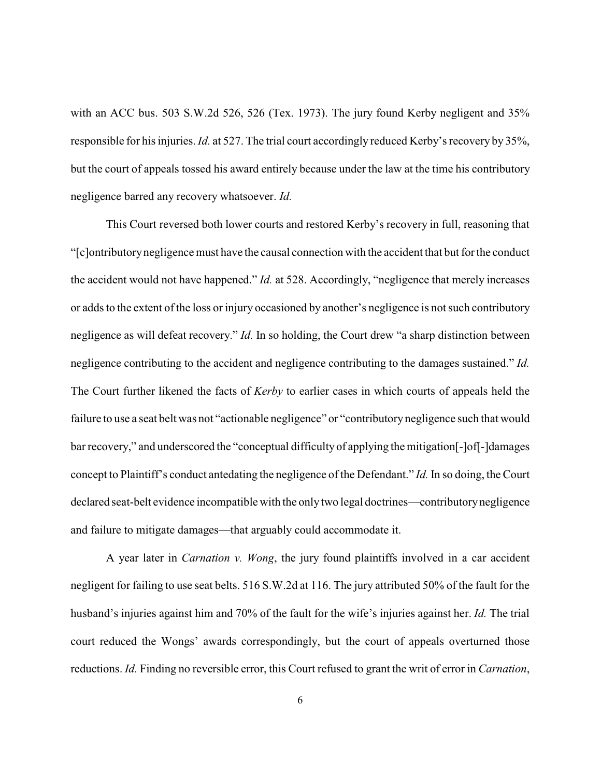with an ACC bus. 503 S.W.2d 526, 526 (Tex. 1973). The jury found Kerby negligent and 35% responsible for his injuries. *Id.* at 527. The trial court accordingly reduced Kerby's recovery by 35%, but the court of appeals tossed his award entirely because under the law at the time his contributory negligence barred any recovery whatsoever. *Id.* 

This Court reversed both lower courts and restored Kerby's recovery in full, reasoning that "[c]ontributorynegligence must have the causal connection with the accident that but for the conduct the accident would not have happened." *Id.* at 528. Accordingly, "negligence that merely increases or adds to the extent of the loss or injury occasioned by another's negligence is not such contributory negligence as will defeat recovery." *Id.* In so holding, the Court drew "a sharp distinction between negligence contributing to the accident and negligence contributing to the damages sustained." *Id.* The Court further likened the facts of *Kerby* to earlier cases in which courts of appeals held the failure to use a seat belt was not "actionable negligence" or "contributory negligence such that would bar recovery," and underscored the "conceptual difficulty of applying the mitigation[-]of[-]damages concept to Plaintiff's conduct antedating the negligence of the Defendant." *Id.* In so doing, the Court declared seat-belt evidence incompatible with the onlytwo legal doctrines—contributorynegligence and failure to mitigate damages—that arguably could accommodate it.

A year later in *Carnation v. Wong*, the jury found plaintiffs involved in a car accident negligent for failing to use seat belts. 516 S.W.2d at 116. The jury attributed 50% of the fault for the husband's injuries against him and 70% of the fault for the wife's injuries against her. *Id.* The trial court reduced the Wongs' awards correspondingly, but the court of appeals overturned those reductions. *Id.* Finding no reversible error, this Court refused to grant the writ of error in *Carnation*,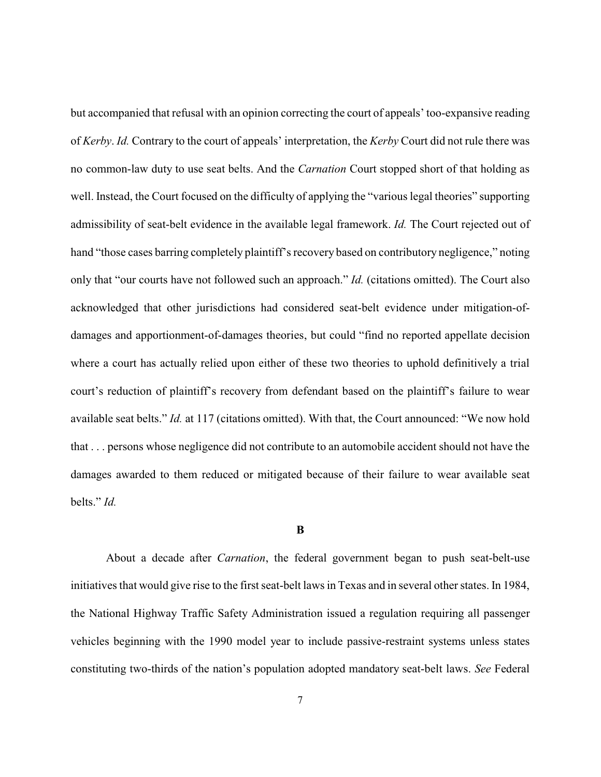but accompanied that refusal with an opinion correcting the court of appeals' too-expansive reading of *Kerby*. *Id.* Contrary to the court of appeals' interpretation, the *Kerby* Court did not rule there was no common-law duty to use seat belts. And the *Carnation* Court stopped short of that holding as well. Instead, the Court focused on the difficulty of applying the "various legal theories" supporting admissibility of seat-belt evidence in the available legal framework. *Id.* The Court rejected out of hand "those cases barring completely plaintiff's recovery based on contributory negligence," noting only that "our courts have not followed such an approach." *Id.* (citations omitted). The Court also acknowledged that other jurisdictions had considered seat-belt evidence under mitigation-ofdamages and apportionment-of-damages theories, but could "find no reported appellate decision where a court has actually relied upon either of these two theories to uphold definitively a trial court's reduction of plaintiff's recovery from defendant based on the plaintiff's failure to wear available seat belts." *Id.* at 117 (citations omitted). With that, the Court announced: "We now hold that . . . persons whose negligence did not contribute to an automobile accident should not have the damages awarded to them reduced or mitigated because of their failure to wear available seat belts." *Id.* 

## **B**

About a decade after *Carnation*, the federal government began to push seat-belt-use initiatives that would give rise to the first seat-belt laws in Texas and in several other states. In 1984, the National Highway Traffic Safety Administration issued a regulation requiring all passenger vehicles beginning with the 1990 model year to include passive-restraint systems unless states constituting two-thirds of the nation's population adopted mandatory seat-belt laws. *See* Federal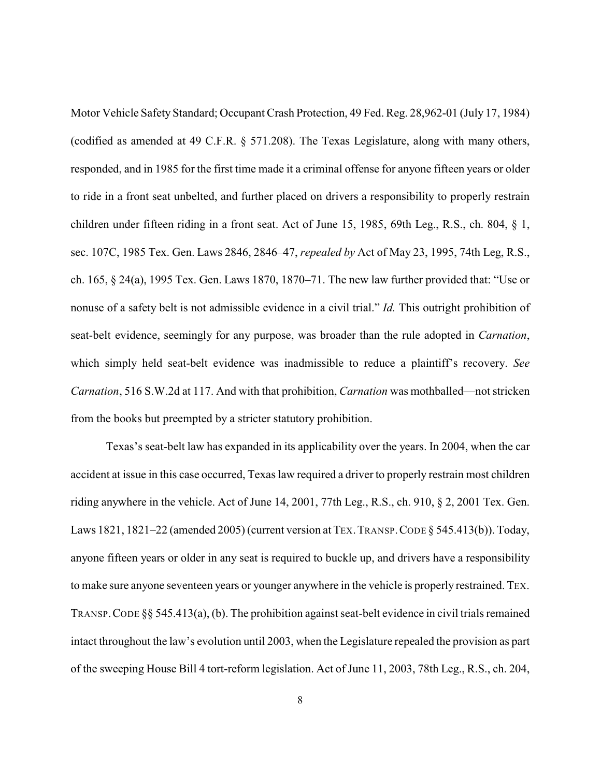Motor Vehicle Safety Standard; Occupant Crash Protection, 49 Fed. Reg. 28,962-01 (July 17, 1984) (codified as amended at 49 C.F.R. § 571.208). The Texas Legislature, along with many others, responded, and in 1985 for the first time made it a criminal offense for anyone fifteen years or older to ride in a front seat unbelted, and further placed on drivers a responsibility to properly restrain children under fifteen riding in a front seat. Act of June 15, 1985, 69th Leg., R.S., ch. 804, § 1, sec. 107C, 1985 Tex. Gen. Laws 2846, 2846–47, *repealed by* Act of May 23, 1995, 74th Leg, R.S., ch. 165, § 24(a), 1995 Tex. Gen. Laws 1870, 1870–71. The new law further provided that: "Use or nonuse of a safety belt is not admissible evidence in a civil trial." *Id.* This outright prohibition of seat-belt evidence, seemingly for any purpose, was broader than the rule adopted in *Carnation*, which simply held seat-belt evidence was inadmissible to reduce a plaintiff's recovery. *See Carnation*, 516 S.W.2d at 117. And with that prohibition, *Carnation* was mothballed—not stricken from the books but preempted by a stricter statutory prohibition.

Texas's seat-belt law has expanded in its applicability over the years. In 2004, when the car accident at issue in this case occurred, Texas law required a driver to properly restrain most children riding anywhere in the vehicle. Act of June 14, 2001, 77th Leg., R.S., ch. 910, § 2, 2001 Tex. Gen. Laws 1821, 1821–22 (amended 2005) (current version at TEX. TRANSP. CODE § 545.413(b)). Today, anyone fifteen years or older in any seat is required to buckle up, and drivers have a responsibility to make sure anyone seventeen years or younger anywhere in the vehicle is properly restrained. TEX. TRANSP. CODE §§ 545.413(a), (b). The prohibition against seat-belt evidence in civil trials remained intact throughout the law's evolution until 2003, when the Legislature repealed the provision as part of the sweeping House Bill 4 tort-reform legislation. Act of June 11, 2003, 78th Leg., R.S., ch. 204,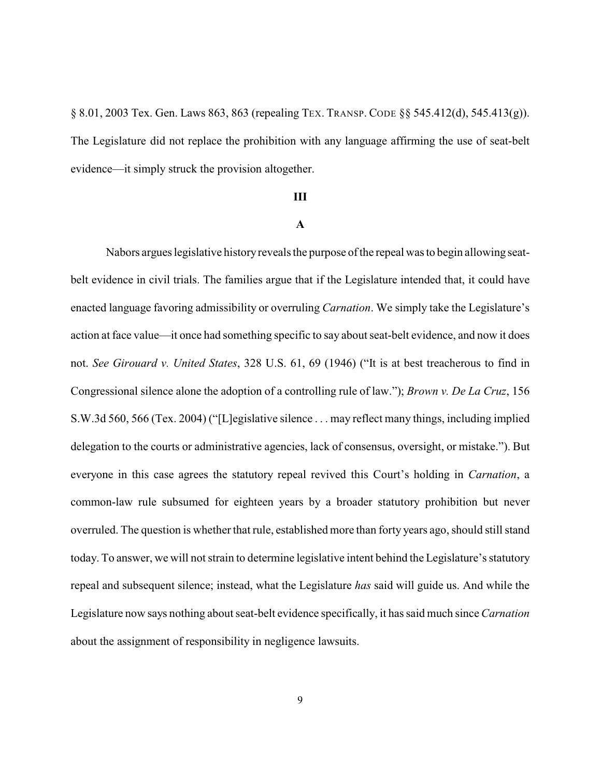§ 8.01, 2003 Tex. Gen. Laws 863, 863 (repealing TEX. TRANSP. CODE §§ 545.412(d), 545.413(g)). The Legislature did not replace the prohibition with any language affirming the use of seat-belt evidence—it simply struck the provision altogether.

#### **III**

# **A**

Nabors argues legislative history reveals the purpose of the repeal was to begin allowing seatbelt evidence in civil trials. The families argue that if the Legislature intended that, it could have enacted language favoring admissibility or overruling *Carnation*. We simply take the Legislature's action at face value—it once had something specific to say about seat-belt evidence, and now it does not. *See Girouard v. United States*, 328 U.S. 61, 69 (1946) ("It is at best treacherous to find in Congressional silence alone the adoption of a controlling rule of law."); *Brown v. De La Cruz*, 156 S.W.3d 560, 566 (Tex. 2004) ("[L]egislative silence . . . may reflect many things, including implied delegation to the courts or administrative agencies, lack of consensus, oversight, or mistake."). But everyone in this case agrees the statutory repeal revived this Court's holding in *Carnation*, a common-law rule subsumed for eighteen years by a broader statutory prohibition but never overruled. The question is whether that rule, established more than forty years ago, should still stand today. To answer, we will not strain to determine legislative intent behind the Legislature's statutory repeal and subsequent silence; instead, what the Legislature *has* said will guide us. And while the Legislature now says nothing about seat-belt evidence specifically, it has said much since *Carnation* about the assignment of responsibility in negligence lawsuits.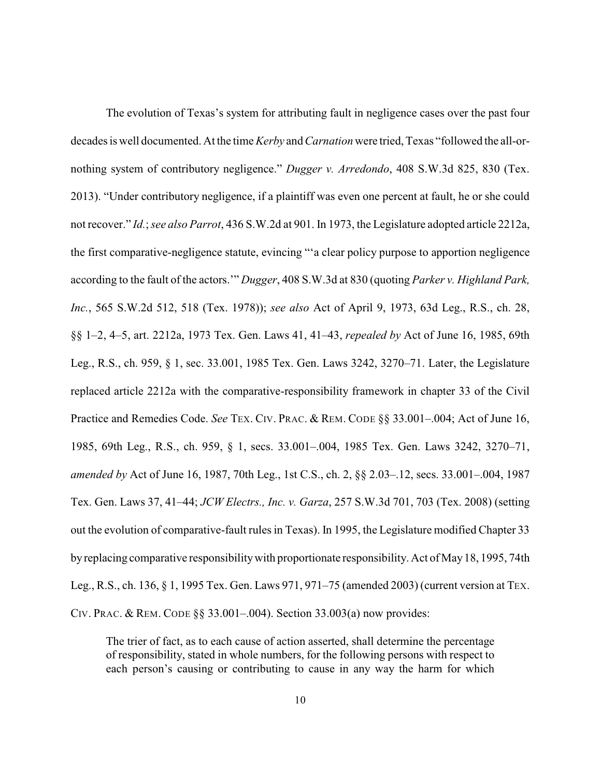The evolution of Texas's system for attributing fault in negligence cases over the past four decades is well documented. At the time *Kerby* and*Carnation* were tried, Texas "followed the all-ornothing system of contributory negligence." *Dugger v. Arredondo*, 408 S.W.3d 825, 830 (Tex. 2013). "Under contributory negligence, if a plaintiff was even one percent at fault, he or she could not recover." *Id.*; *see also Parrot*, 436 S.W.2d at 901. In 1973, the Legislature adopted article 2212a, the first comparative-negligence statute, evincing "'a clear policy purpose to apportion negligence according to the fault of the actors.'" *Dugger*, 408 S.W.3d at 830 (quoting *Parker v. Highland Park, Inc.*, 565 S.W.2d 512, 518 (Tex. 1978)); *see also* Act of April 9, 1973, 63d Leg., R.S., ch. 28, §§ 1–2, 4–5, art. 2212a, 1973 Tex. Gen. Laws 41, 41–43, *repealed by* Act of June 16, 1985, 69th Leg., R.S., ch. 959, § 1, sec. 33.001, 1985 Tex. Gen. Laws 3242, 3270–71. Later, the Legislature replaced article 2212a with the comparative-responsibility framework in chapter 33 of the Civil Practice and Remedies Code. *See TEX. CIV. PRAC. & REM. CODE* §§ 33.001-.004; Act of June 16, 1985, 69th Leg., R.S., ch. 959, § 1, secs. 33.001–.004, 1985 Tex. Gen. Laws 3242, 3270–71, *amended by* Act of June 16, 1987, 70th Leg., 1st C.S., ch. 2, §§ 2.03–.12, secs. 33.001–.004, 1987 Tex. Gen. Laws 37, 41–44; *JCW Electrs., Inc. v. Garza*, 257 S.W.3d 701, 703 (Tex. 2008) (setting out the evolution of comparative-fault rules in Texas). In 1995, the Legislature modified Chapter 33 byreplacing comparative responsibilitywith proportionate responsibility. Act of May18, 1995, 74th Leg., R.S., ch. 136, § 1, 1995 Tex. Gen. Laws 971, 971–75 (amended 2003) (current version at TEX. CIV. PRAC. & REM. CODE §§ 33.001–.004). Section 33.003(a) now provides:

The trier of fact, as to each cause of action asserted, shall determine the percentage of responsibility, stated in whole numbers, for the following persons with respect to each person's causing or contributing to cause in any way the harm for which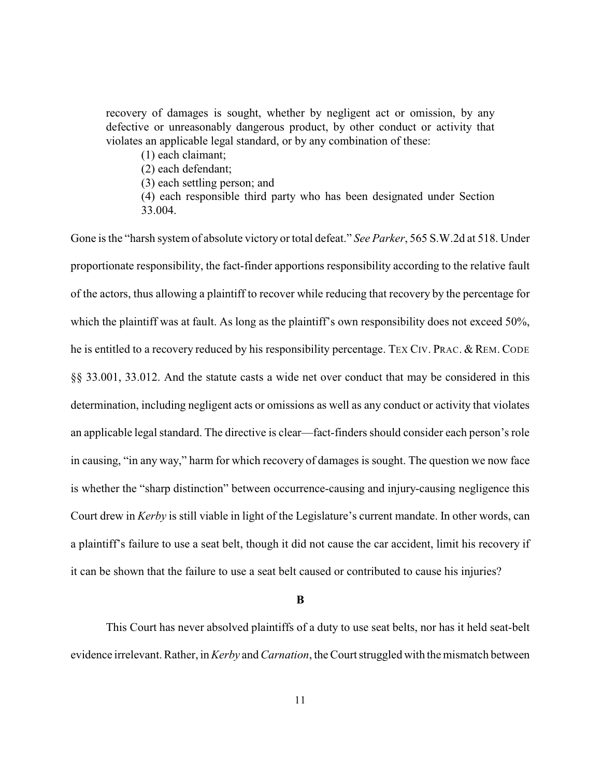recovery of damages is sought, whether by negligent act or omission, by any defective or unreasonably dangerous product, by other conduct or activity that violates an applicable legal standard, or by any combination of these:

(1) each claimant;

(2) each defendant;

(3) each settling person; and

(4) each responsible third party who has been designated under Section 33.004.

Gone is the "harsh system of absolute victory or total defeat." *See Parker*, 565 S.W.2d at 518. Under proportionate responsibility, the fact-finder apportions responsibility according to the relative fault of the actors, thus allowing a plaintiff to recover while reducing that recovery by the percentage for which the plaintiff was at fault. As long as the plaintiff's own responsibility does not exceed 50%, he is entitled to a recovery reduced by his responsibility percentage. TEX CIV. PRAC. & REM. CODE §§ 33.001, 33.012. And the statute casts a wide net over conduct that may be considered in this determination, including negligent acts or omissions as well as any conduct or activity that violates an applicable legal standard. The directive is clear—fact-finders should consider each person's role in causing, "in any way," harm for which recovery of damages is sought. The question we now face is whether the "sharp distinction" between occurrence-causing and injury-causing negligence this Court drew in *Kerby* is still viable in light of the Legislature's current mandate. In other words, can a plaintiff's failure to use a seat belt, though it did not cause the car accident, limit his recovery if it can be shown that the failure to use a seat belt caused or contributed to cause his injuries?

**B**

This Court has never absolved plaintiffs of a duty to use seat belts, nor has it held seat-belt evidence irrelevant. Rather, in *Kerby* and *Carnation*, the Court struggled with the mismatch between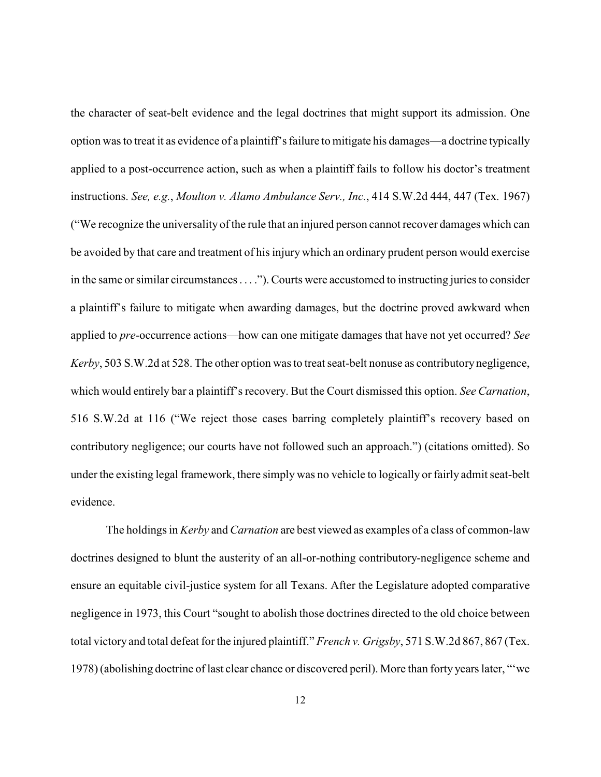the character of seat-belt evidence and the legal doctrines that might support its admission. One option was to treat it as evidence of a plaintiff's failure to mitigate his damages—a doctrine typically applied to a post-occurrence action, such as when a plaintiff fails to follow his doctor's treatment instructions. *See, e.g.*, *Moulton v. Alamo Ambulance Serv., Inc.*, 414 S.W.2d 444, 447 (Tex. 1967) ("We recognize the universality of the rule that an injured person cannot recover damages which can be avoided by that care and treatment of his injury which an ordinary prudent person would exercise in the same or similar circumstances . . . ."). Courts were accustomed to instructing juries to consider a plaintiff's failure to mitigate when awarding damages, but the doctrine proved awkward when applied to *pre*-occurrence actions—how can one mitigate damages that have not yet occurred? *See Kerby*, 503 S.W.2d at 528. The other option was to treat seat-belt nonuse as contributory negligence, which would entirely bar a plaintiff's recovery. But the Court dismissed this option. *See Carnation*, 516 S.W.2d at 116 ("We reject those cases barring completely plaintiff's recovery based on contributory negligence; our courts have not followed such an approach.") (citations omitted). So under the existing legal framework, there simply was no vehicle to logically or fairly admit seat-belt evidence.

The holdings in *Kerby* and *Carnation* are best viewed as examples of a class of common-law doctrines designed to blunt the austerity of an all-or-nothing contributory-negligence scheme and ensure an equitable civil-justice system for all Texans. After the Legislature adopted comparative negligence in 1973, this Court "sought to abolish those doctrines directed to the old choice between total victory and total defeat for the injured plaintiff." *French v. Grigsby*, 571 S.W.2d 867, 867 (Tex. 1978) (abolishing doctrine of last clear chance or discovered peril). More than forty years later, "'we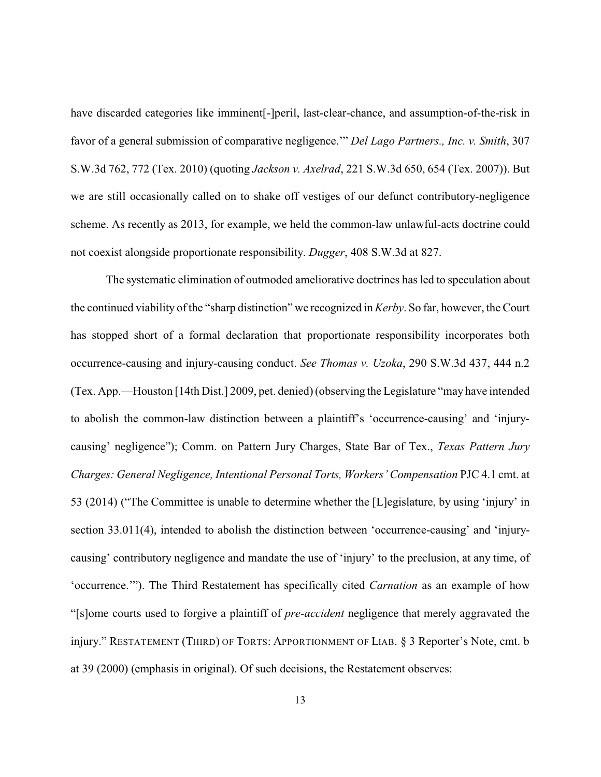have discarded categories like imminent[-]peril, last-clear-chance, and assumption-of-the-risk in favor of a general submission of comparative negligence.'" *Del Lago Partners., Inc. v. Smith*, 307 S.W.3d 762, 772 (Tex. 2010) (quoting *Jackson v. Axelrad*, 221 S.W.3d 650, 654 (Tex. 2007)). But we are still occasionally called on to shake off vestiges of our defunct contributory-negligence scheme. As recently as 2013, for example, we held the common-law unlawful-acts doctrine could not coexist alongside proportionate responsibility. *Dugger*, 408 S.W.3d at 827.

The systematic elimination of outmoded ameliorative doctrines has led to speculation about the continued viability of the "sharp distinction" we recognized in *Kerby*. So far, however, the Court has stopped short of a formal declaration that proportionate responsibility incorporates both occurrence-causing and injury-causing conduct. *See Thomas v. Uzoka*, 290 S.W.3d 437, 444 n.2 (Tex. App.—Houston [14th Dist.] 2009, pet. denied)(observing the Legislature "may have intended to abolish the common-law distinction between a plaintiff's 'occurrence-causing' and 'injurycausing' negligence"); Comm. on Pattern Jury Charges, State Bar of Tex., *Texas Pattern Jury Charges: General Negligence, Intentional Personal Torts, Workers' Compensation* PJC 4.1 cmt. at 53 (2014) ("The Committee is unable to determine whether the [L]egislature, by using 'injury' in section 33.011(4), intended to abolish the distinction between 'occurrence-causing' and 'injurycausing' contributory negligence and mandate the use of 'injury' to the preclusion, at any time, of 'occurrence.'"). The Third Restatement has specifically cited *Carnation* as an example of how "[s]ome courts used to forgive a plaintiff of *pre-accident* negligence that merely aggravated the injury." RESTATEMENT (THIRD) OF TORTS: APPORTIONMENT OF LIAB. § 3 Reporter's Note, cmt. b at 39 (2000) (emphasis in original). Of such decisions, the Restatement observes: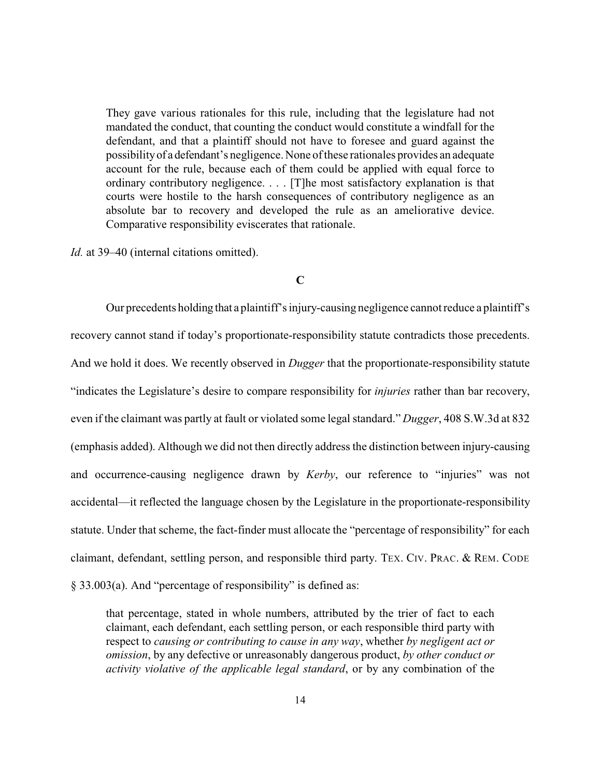They gave various rationales for this rule, including that the legislature had not mandated the conduct, that counting the conduct would constitute a windfall for the defendant, and that a plaintiff should not have to foresee and guard against the possibilityof a defendant's negligence. None of these rationales provides an adequate account for the rule, because each of them could be applied with equal force to ordinary contributory negligence. . . . [T]he most satisfactory explanation is that courts were hostile to the harsh consequences of contributory negligence as an absolute bar to recovery and developed the rule as an ameliorative device. Comparative responsibility eviscerates that rationale.

*Id.* at 39–40 (internal citations omitted).

## **C**

Our precedents holding that a plaintiff's injury-causing negligence cannot reduce a plaintiff's recovery cannot stand if today's proportionate-responsibility statute contradicts those precedents. And we hold it does. We recently observed in *Dugger* that the proportionate-responsibility statute "indicates the Legislature's desire to compare responsibility for *injuries* rather than bar recovery, even if the claimant was partly at fault or violated some legal standard." *Dugger*, 408 S.W.3d at 832 (emphasis added). Although we did not then directly address the distinction between injury-causing and occurrence-causing negligence drawn by *Kerby*, our reference to "injuries" was not accidental—it reflected the language chosen by the Legislature in the proportionate-responsibility statute. Under that scheme, the fact-finder must allocate the "percentage of responsibility" for each claimant, defendant, settling person, and responsible third party. TEX. CIV. PRAC. & REM. CODE § 33.003(a). And "percentage of responsibility" is defined as:

that percentage, stated in whole numbers, attributed by the trier of fact to each claimant, each defendant, each settling person, or each responsible third party with respect to *causing or contributing to cause in any way*, whether *by negligent act or omission*, by any defective or unreasonably dangerous product, *by other conduct or activity violative of the applicable legal standard*, or by any combination of the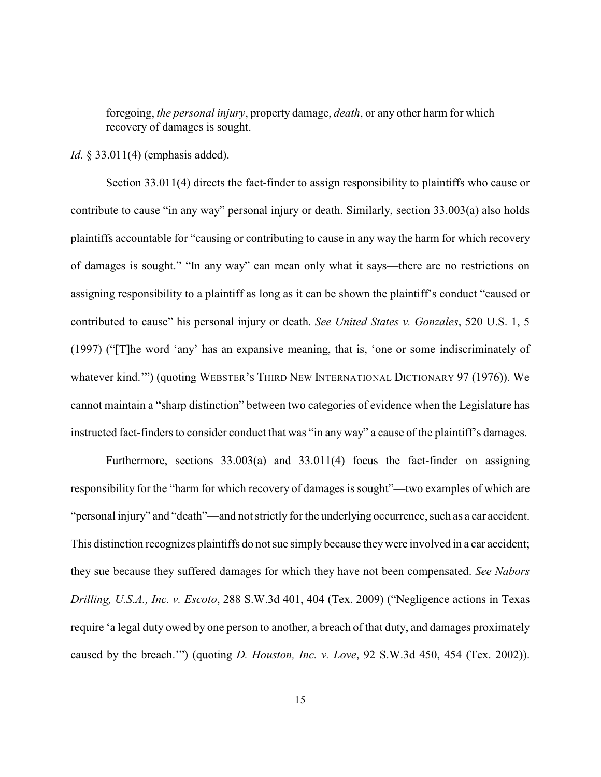foregoing, *the personal injury*, property damage, *death*, or any other harm for which recovery of damages is sought.

*Id.* § 33.011(4) (emphasis added).

Section 33.011(4) directs the fact-finder to assign responsibility to plaintiffs who cause or contribute to cause "in any way" personal injury or death. Similarly, section 33.003(a) also holds plaintiffs accountable for "causing or contributing to cause in any way the harm for which recovery of damages is sought." "In any way" can mean only what it says—there are no restrictions on assigning responsibility to a plaintiff as long as it can be shown the plaintiff's conduct "caused or contributed to cause" his personal injury or death. *See United States v. Gonzales*, 520 U.S. 1, 5 (1997) ("[T]he word 'any' has an expansive meaning, that is, 'one or some indiscriminately of whatever kind.'") (quoting WEBSTER'S THIRD NEW INTERNATIONAL DICTIONARY 97 (1976)). We cannot maintain a "sharp distinction" between two categories of evidence when the Legislature has instructed fact-finders to consider conduct that was "in any way" a cause of the plaintiff's damages.

Furthermore, sections 33.003(a) and 33.011(4) focus the fact-finder on assigning responsibility for the "harm for which recovery of damages is sought"—two examples of which are "personal injury" and "death"—and not strictly for the underlying occurrence, such as a car accident. This distinction recognizes plaintiffs do not sue simply because theywere involved in a car accident; they sue because they suffered damages for which they have not been compensated. *See Nabors Drilling, U.S.A., Inc. v. Escoto*, 288 S.W.3d 401, 404 (Tex. 2009) ("Negligence actions in Texas require 'a legal duty owed by one person to another, a breach of that duty, and damages proximately caused by the breach.'") (quoting *D. Houston, Inc. v. Love*, 92 S.W.3d 450, 454 (Tex. 2002)).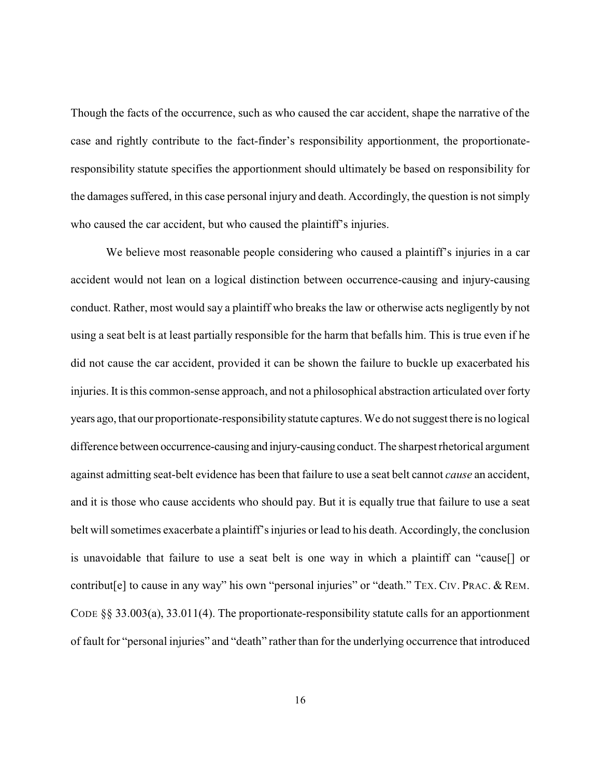Though the facts of the occurrence, such as who caused the car accident, shape the narrative of the case and rightly contribute to the fact-finder's responsibility apportionment, the proportionateresponsibility statute specifies the apportionment should ultimately be based on responsibility for the damages suffered, in this case personal injury and death. Accordingly, the question is not simply who caused the car accident, but who caused the plaintiff's injuries.

We believe most reasonable people considering who caused a plaintiff's injuries in a car accident would not lean on a logical distinction between occurrence-causing and injury-causing conduct. Rather, most would say a plaintiff who breaks the law or otherwise acts negligently by not using a seat belt is at least partially responsible for the harm that befalls him. This is true even if he did not cause the car accident, provided it can be shown the failure to buckle up exacerbated his injuries. It is this common-sense approach, and not a philosophical abstraction articulated over forty years ago, that our proportionate-responsibilitystatute captures. We do not suggest there is no logical difference between occurrence-causing and injury-causing conduct. The sharpest rhetorical argument against admitting seat-belt evidence has been that failure to use a seat belt cannot *cause* an accident, and it is those who cause accidents who should pay. But it is equally true that failure to use a seat belt will sometimes exacerbate a plaintiff's injuries or lead to his death. Accordingly, the conclusion is unavoidable that failure to use a seat belt is one way in which a plaintiff can "cause[] or contribut[e] to cause in any way" his own "personal injuries" or "death." TEX. CIV. PRAC. & REM. CODE  $\S$ § 33.003(a), 33.011(4). The proportionate-responsibility statute calls for an apportionment of fault for "personal injuries" and "death" rather than for the underlying occurrence that introduced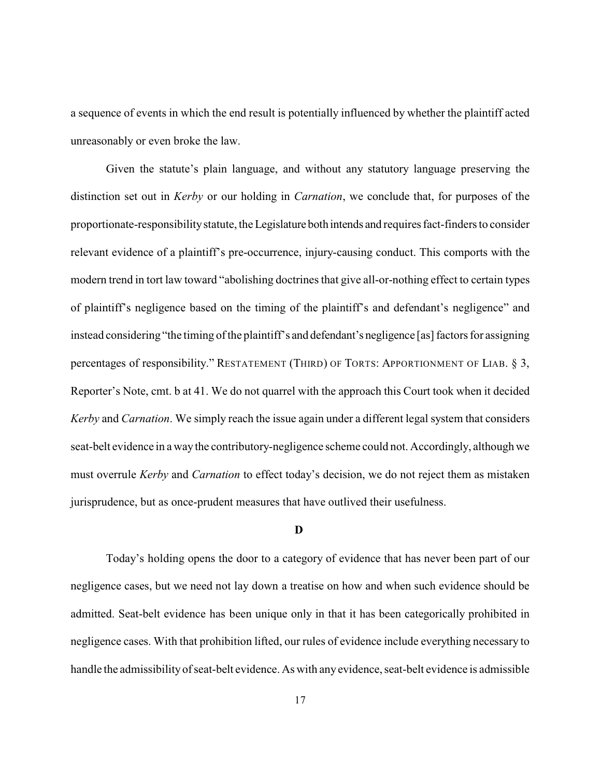a sequence of events in which the end result is potentially influenced by whether the plaintiff acted unreasonably or even broke the law.

Given the statute's plain language, and without any statutory language preserving the distinction set out in *Kerby* or our holding in *Carnation*, we conclude that, for purposes of the proportionate-responsibilitystatute, the Legislature both intends and requires fact-finders to consider relevant evidence of a plaintiff's pre-occurrence, injury-causing conduct. This comports with the modern trend in tort law toward "abolishing doctrines that give all-or-nothing effect to certain types of plaintiff's negligence based on the timing of the plaintiff's and defendant's negligence" and instead considering "the timing of the plaintiff's and defendant's negligence [as] factors for assigning percentages of responsibility." RESTATEMENT (THIRD) OF TORTS: APPORTIONMENT OF LIAB. § 3, Reporter's Note, cmt. b at 41. We do not quarrel with the approach this Court took when it decided *Kerby* and *Carnation*. We simply reach the issue again under a different legal system that considers seat-belt evidence in a waythe contributory-negligence scheme could not. Accordingly, although we must overrule *Kerby* and *Carnation* to effect today's decision, we do not reject them as mistaken jurisprudence, but as once-prudent measures that have outlived their usefulness.

#### **D**

Today's holding opens the door to a category of evidence that has never been part of our negligence cases, but we need not lay down a treatise on how and when such evidence should be admitted. Seat-belt evidence has been unique only in that it has been categorically prohibited in negligence cases. With that prohibition lifted, our rules of evidence include everything necessary to handle the admissibilityof seat-belt evidence. As with any evidence, seat-belt evidence is admissible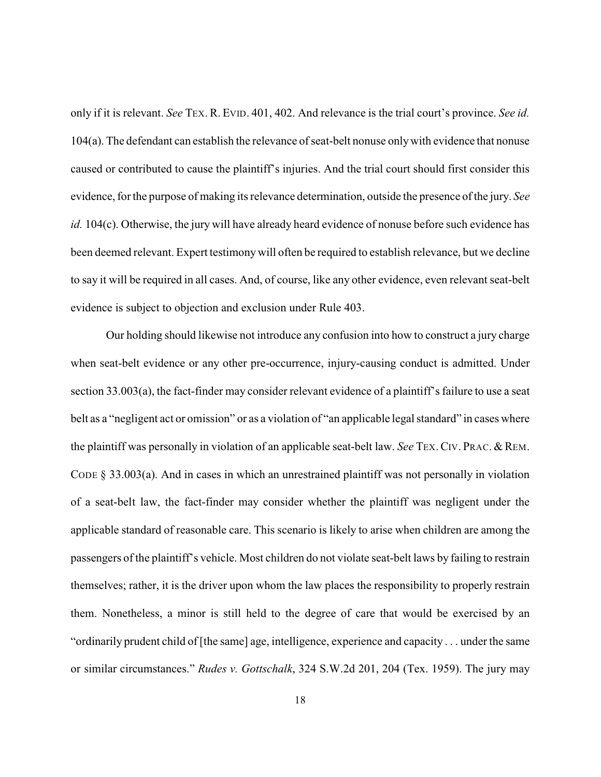only if it is relevant. *See* TEX. R. EVID. 401, 402. And relevance is the trial court's province. *See id.* 104(a). The defendant can establish the relevance of seat-belt nonuse onlywith evidence that nonuse caused or contributed to cause the plaintiff's injuries. And the trial court should first consider this evidence, for the purpose of making its relevance determination, outside the presence of the jury. *See id.* 104(c). Otherwise, the jury will have already heard evidence of nonuse before such evidence has been deemed relevant. Expert testimony will often be required to establish relevance, but we decline to say it will be required in all cases. And, of course, like any other evidence, even relevant seat-belt evidence is subject to objection and exclusion under Rule 403.

Our holding should likewise not introduce any confusion into how to construct a jury charge when seat-belt evidence or any other pre-occurrence, injury-causing conduct is admitted. Under section 33.003(a), the fact-finder may consider relevant evidence of a plaintiff's failure to use a seat belt as a "negligent act or omission" or as a violation of "an applicable legal standard" in cases where the plaintiff was personally in violation of an applicable seat-belt law. *See* TEX. CIV. PRAC. & REM. CODE § 33.003(a). And in cases in which an unrestrained plaintiff was not personally in violation of a seat-belt law, the fact-finder may consider whether the plaintiff was negligent under the applicable standard of reasonable care. This scenario is likely to arise when children are among the passengers of the plaintiff's vehicle. Most children do not violate seat-belt laws by failing to restrain themselves; rather, it is the driver upon whom the law places the responsibility to properly restrain them. Nonetheless, a minor is still held to the degree of care that would be exercised by an "ordinarily prudent child of [the same] age, intelligence, experience and capacity . . . under the same or similar circumstances." *Rudes v. Gottschalk*, 324 S.W.2d 201, 204 (Tex. 1959). The jury may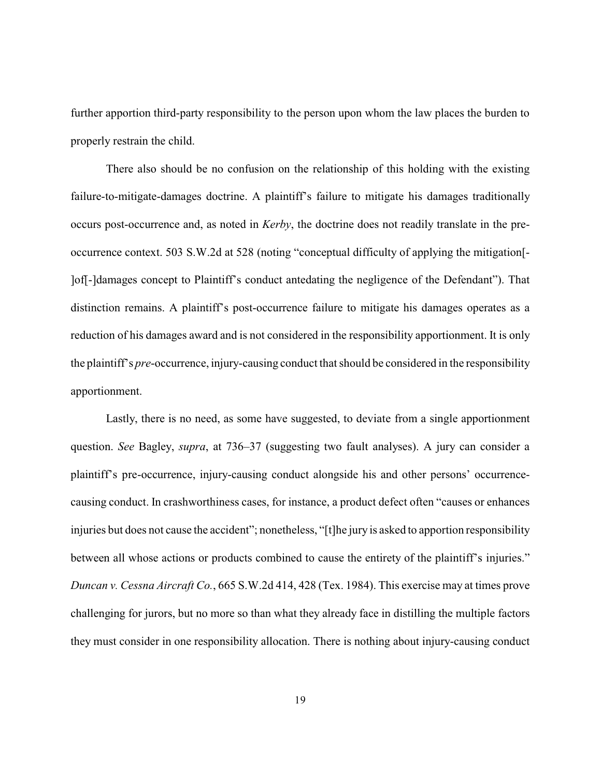further apportion third-party responsibility to the person upon whom the law places the burden to properly restrain the child.

There also should be no confusion on the relationship of this holding with the existing failure-to-mitigate-damages doctrine. A plaintiff's failure to mitigate his damages traditionally occurs post-occurrence and, as noted in *Kerby*, the doctrine does not readily translate in the preoccurrence context. 503 S.W.2d at 528 (noting "conceptual difficulty of applying the mitigation[- ]of[-]damages concept to Plaintiff's conduct antedating the negligence of the Defendant"). That distinction remains. A plaintiff's post-occurrence failure to mitigate his damages operates as a reduction of his damages award and is not considered in the responsibility apportionment. It is only the plaintiff's *pre*-occurrence, injury-causing conduct that should be considered in the responsibility apportionment.

Lastly, there is no need, as some have suggested, to deviate from a single apportionment question. *See* Bagley, *supra*, at 736–37 (suggesting two fault analyses). A jury can consider a plaintiff's pre-occurrence, injury-causing conduct alongside his and other persons' occurrencecausing conduct. In crashworthiness cases, for instance, a product defect often "causes or enhances injuries but does not cause the accident"; nonetheless, "[t]he jury is asked to apportion responsibility between all whose actions or products combined to cause the entirety of the plaintiff's injuries." *Duncan v. Cessna Aircraft Co.*, 665 S.W.2d 414, 428 (Tex. 1984). This exercise may at times prove challenging for jurors, but no more so than what they already face in distilling the multiple factors they must consider in one responsibility allocation. There is nothing about injury-causing conduct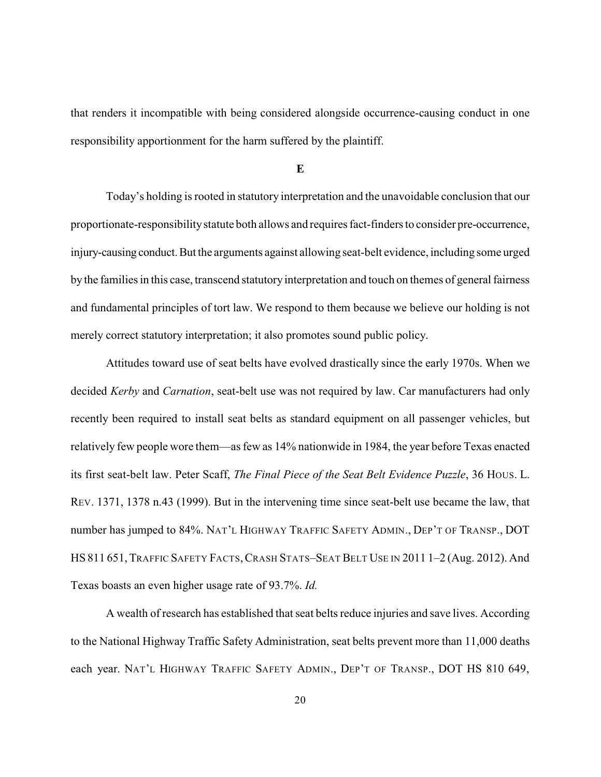that renders it incompatible with being considered alongside occurrence-causing conduct in one responsibility apportionment for the harm suffered by the plaintiff.

#### **E**

Today's holding is rooted in statutory interpretation and the unavoidable conclusion that our proportionate-responsibilitystatute both allows and requires fact-finders to consider pre-occurrence, injury-causing conduct.But the arguments against allowing seat-belt evidence, including some urged by the families in this case, transcend statutory interpretation and touch on themes of general fairness and fundamental principles of tort law. We respond to them because we believe our holding is not merely correct statutory interpretation; it also promotes sound public policy.

Attitudes toward use of seat belts have evolved drastically since the early 1970s. When we decided *Kerby* and *Carnation*, seat-belt use was not required by law. Car manufacturers had only recently been required to install seat belts as standard equipment on all passenger vehicles, but relatively few people wore them—as few as 14% nationwide in 1984, the year before Texas enacted its first seat-belt law. Peter Scaff, *The Final Piece of the Seat Belt Evidence Puzzle*, 36 HOUS. L. REV. 1371, 1378 n.43 (1999). But in the intervening time since seat-belt use became the law, that number has jumped to 84%. NAT'L HIGHWAY TRAFFIC SAFETY ADMIN., DEP'T OF TRANSP., DOT HS 811 651, TRAFFIC SAFETY FACTS, CRASH STATS-SEAT BELT USE IN 2011 1-2 (Aug. 2012). And Texas boasts an even higher usage rate of 93.7%. *Id.*

A wealth of research has established that seat belts reduce injuries and save lives. According to the National Highway Traffic Safety Administration, seat belts prevent more than 11,000 deaths each year. NAT'L HIGHWAY TRAFFIC SAFETY ADMIN., DEP'T OF TRANSP., DOT HS 810 649,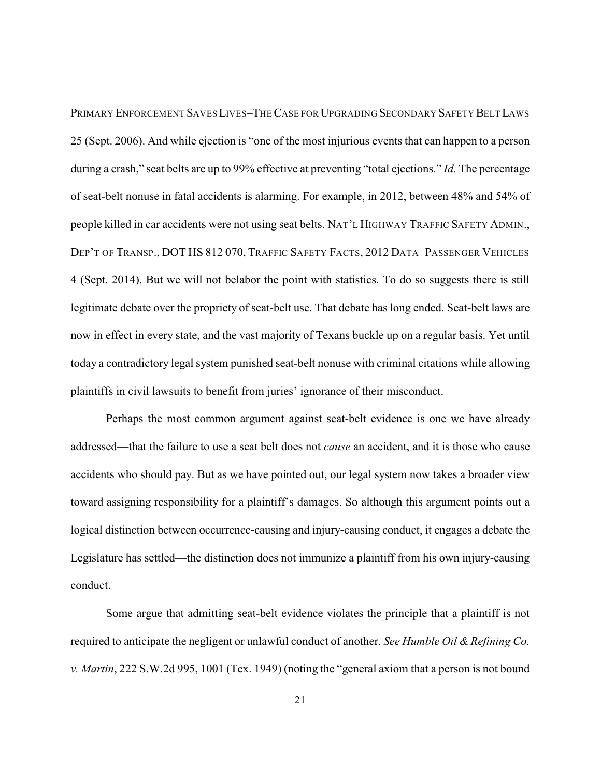PRIMARY ENFORCEMENT SAVES LIVES-THE CASE FOR UPGRADING SECONDARY SAFETY BELT LAWS 25 (Sept. 2006). And while ejection is "one of the most injurious events that can happen to a person during a crash," seat belts are up to 99% effective at preventing "total ejections." *Id.* The percentage of seat-belt nonuse in fatal accidents is alarming. For example, in 2012, between 48% and 54% of people killed in car accidents were not using seat belts. NAT'L HIGHWAY TRAFFIC SAFETY ADMIN., DEP'T OF TRANSP., DOT HS 812 070, TRAFFIC SAFETY FACTS, 2012 DATA–PASSENGER VEHICLES 4 (Sept. 2014). But we will not belabor the point with statistics. To do so suggests there is still legitimate debate over the propriety of seat-belt use. That debate has long ended. Seat-belt laws are now in effect in every state, and the vast majority of Texans buckle up on a regular basis. Yet until today a contradictory legal system punished seat-belt nonuse with criminal citations while allowing plaintiffs in civil lawsuits to benefit from juries' ignorance of their misconduct.

Perhaps the most common argument against seat-belt evidence is one we have already addressed—that the failure to use a seat belt does not *cause* an accident, and it is those who cause accidents who should pay. But as we have pointed out, our legal system now takes a broader view toward assigning responsibility for a plaintiff's damages. So although this argument points out a logical distinction between occurrence-causing and injury-causing conduct, it engages a debate the Legislature has settled—the distinction does not immunize a plaintiff from his own injury-causing conduct.

Some argue that admitting seat-belt evidence violates the principle that a plaintiff is not required to anticipate the negligent or unlawful conduct of another. *See Humble Oil & Refining Co. v. Martin*, 222 S.W.2d 995, 1001 (Tex. 1949) (noting the "general axiom that a person is not bound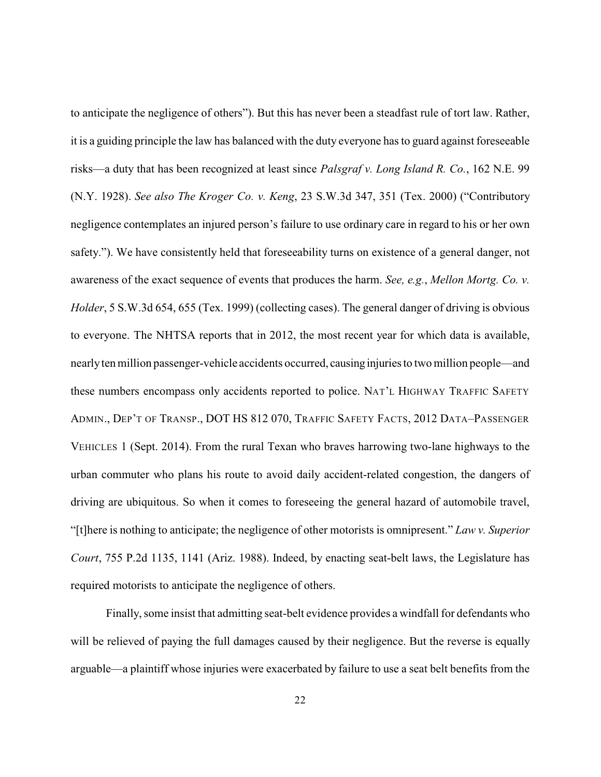to anticipate the negligence of others"). But this has never been a steadfast rule of tort law. Rather, it is a guiding principle the law has balanced with the duty everyone has to guard against foreseeable risks—a duty that has been recognized at least since *Palsgraf v. Long Island R. Co.*, 162 N.E. 99 (N.Y. 1928). *See also The Kroger Co. v. Keng*, 23 S.W.3d 347, 351 (Tex. 2000) ("Contributory negligence contemplates an injured person's failure to use ordinary care in regard to his or her own safety."). We have consistently held that foreseeability turns on existence of a general danger, not awareness of the exact sequence of events that produces the harm. *See, e.g.*, *Mellon Mortg. Co. v. Holder*, 5 S.W.3d 654, 655 (Tex. 1999) (collecting cases). The general danger of driving is obvious to everyone. The NHTSA reports that in 2012, the most recent year for which data is available, nearlyten million passenger-vehicle accidents occurred, causinginjuries to two million people—and these numbers encompass only accidents reported to police. NAT'L HIGHWAY TRAFFIC SAFETY ADMIN., DEP'T OF TRANSP., DOT HS 812 070, TRAFFIC SAFETY FACTS, 2012 DATA–PASSENGER VEHICLES 1 (Sept. 2014). From the rural Texan who braves harrowing two-lane highways to the urban commuter who plans his route to avoid daily accident-related congestion, the dangers of driving are ubiquitous. So when it comes to foreseeing the general hazard of automobile travel, "[t]here is nothing to anticipate; the negligence of other motorists is omnipresent." *Law v. Superior Court*, 755 P.2d 1135, 1141 (Ariz. 1988). Indeed, by enacting seat-belt laws, the Legislature has required motorists to anticipate the negligence of others.

Finally, some insist that admitting seat-belt evidence provides a windfall for defendants who will be relieved of paying the full damages caused by their negligence. But the reverse is equally arguable—a plaintiff whose injuries were exacerbated by failure to use a seat belt benefits from the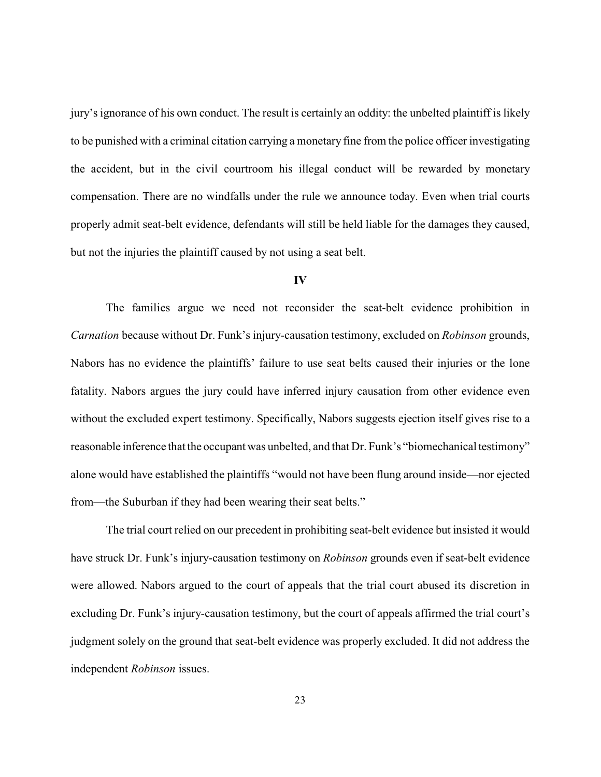jury's ignorance of his own conduct. The result is certainly an oddity: the unbelted plaintiff is likely to be punished with a criminal citation carrying a monetary fine from the police officer investigating the accident, but in the civil courtroom his illegal conduct will be rewarded by monetary compensation. There are no windfalls under the rule we announce today. Even when trial courts properly admit seat-belt evidence, defendants will still be held liable for the damages they caused, but not the injuries the plaintiff caused by not using a seat belt.

#### **IV**

The families argue we need not reconsider the seat-belt evidence prohibition in *Carnation* because without Dr. Funk's injury-causation testimony, excluded on *Robinson* grounds, Nabors has no evidence the plaintiffs' failure to use seat belts caused their injuries or the lone fatality. Nabors argues the jury could have inferred injury causation from other evidence even without the excluded expert testimony. Specifically, Nabors suggests ejection itself gives rise to a reasonable inference that the occupant was unbelted, and that Dr. Funk's "biomechanical testimony" alone would have established the plaintiffs "would not have been flung around inside—nor ejected from—the Suburban if they had been wearing their seat belts."

The trial court relied on our precedent in prohibiting seat-belt evidence but insisted it would have struck Dr. Funk's injury-causation testimony on *Robinson* grounds even if seat-belt evidence were allowed. Nabors argued to the court of appeals that the trial court abused its discretion in excluding Dr. Funk's injury-causation testimony, but the court of appeals affirmed the trial court's judgment solely on the ground that seat-belt evidence was properly excluded. It did not address the independent *Robinson* issues.